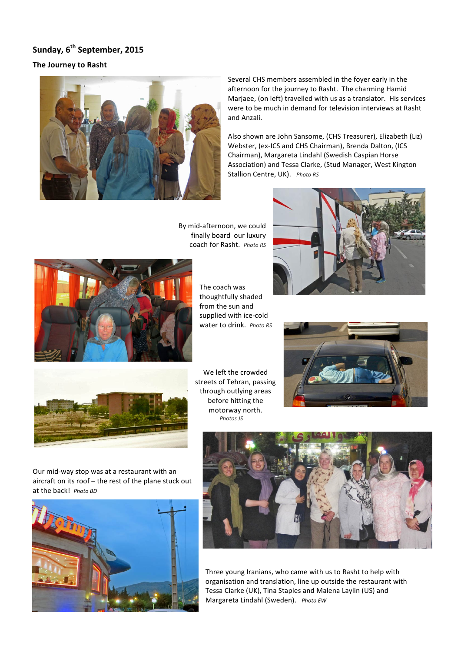## **Sunday, 6<sup>th</sup> September, 2015**

## **The Journey to Rasht**



Several CHS members assembled in the foyer early in the afternoon for the journey to Rasht. The charming Hamid Marjaee, (on left) travelled with us as a translator. His services were to be much in demand for television interviews at Rasht and Anzali. 

Also shown are John Sansome, (CHS Treasurer), Elizabeth (Liz) Webster, (ex-ICS and CHS Chairman), Brenda Dalton, (ICS Chairman), Margareta Lindahl (Swedish Caspian Horse Association) and Tessa Clarke, (Stud Manager, West Kington Stallion Centre, UK). Photo RS

By mid-afternoon, we could finally board our luxury coach for Rasht. Photo RS



The coach was thoughtfully shaded from the sun and supplied with ice-cold water to drink. Photo RS





We left the crowded streets of Tehran, passing through outlying areas before hitting the motorway north.  *Photos JS*



Our mid-way stop was at a restaurant with an aircraft on its roof – the rest of the plane stuck out at the back! *Photo BD* 





Three young Iranians, who came with us to Rasht to help with organisation and translation, line up outside the restaurant with Tessa Clarke (UK), Tina Staples and Malena Laylin (US) and Margareta Lindahl (Sweden). Photo EW